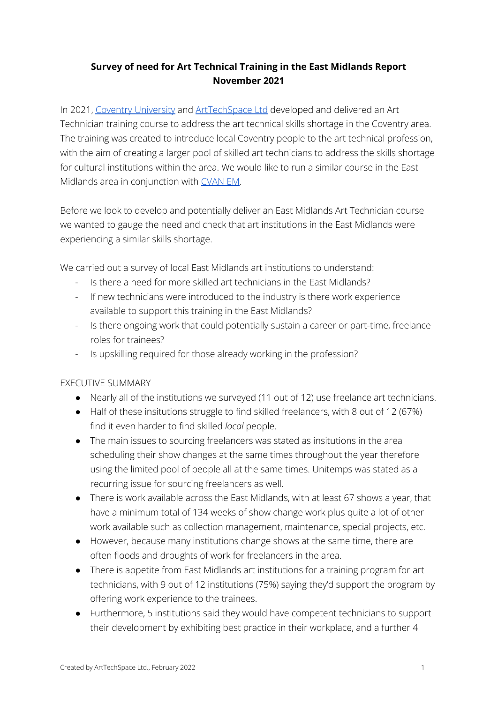# **Survey of need for Art Technical Training in the East Midlands Report November 2021**

In 2021, Coventry [University](https://www.coventry.ac.uk/study-at-coventry/faculties-and-schools/arts-and-humanities/) and [ArtTechSpace](https://www.arttechspace.com/) Ltd developed and delivered an Art Technician training course to address the art technical skills shortage in the Coventry area. The training was created to introduce local Coventry people to the art technical profession, with the aim of creating a larger pool of skilled art technicians to address the skills shortage for cultural institutions within the area. We would like to run a similar course in the East Midlands area in conjunction with [CVAN](https://cvaneastmidlands.co.uk/) EM.

Before we look to develop and potentially deliver an East Midlands Art Technician course we wanted to gauge the need and check that art institutions in the East Midlands were experiencing a similar skills shortage.

We carried out a survey of local East Midlands art institutions to understand:

- Is there a need for more skilled art technicians in the East Midlands?
- If new technicians were introduced to the industry is there work experience available to support this training in the East Midlands?
- Is there ongoing work that could potentially sustain a career or part-time, freelance roles for trainees?
- Is upskilling required for those already working in the profession?

## EXECUTIVE SUMMARY

- Nearly all of the institutions we surveyed (11 out of 12) use freelance art technicians.
- Half of these insitutions struggle to find skilled freelancers, with 8 out of 12 (67%) find it even harder to find skilled *local* people.
- The main issues to sourcing freelancers was stated as insitutions in the area scheduling their show changes at the same times throughout the year therefore using the limited pool of people all at the same times. Unitemps was stated as a recurring issue for sourcing freelancers as well.
- There is work available across the East Midlands, with at least 67 shows a year, that have a minimum total of 134 weeks of show change work plus quite a lot of other work available such as collection management, maintenance, special projects, etc.
- However, because many institutions change shows at the same time, there are often floods and droughts of work for freelancers in the area.
- There is appetite from East Midlands art institutions for a training program for art technicians, with 9 out of 12 institutions (75%) saying they'd support the program by offering work experience to the trainees.
- Furthermore, 5 institutions said they would have competent technicians to support their development by exhibiting best practice in their workplace, and a further 4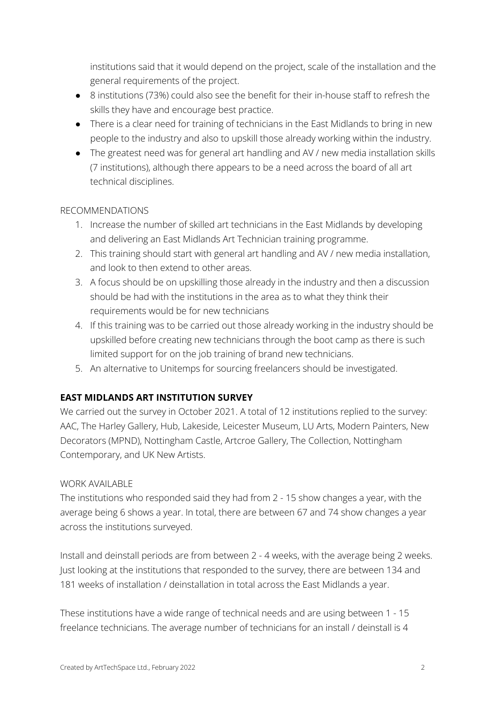institutions said that it would depend on the project, scale of the installation and the general requirements of the project.

- 8 institutions (73%) could also see the benefit for their in-house staff to refresh the skills they have and encourage best practice.
- There is a clear need for training of technicians in the East Midlands to bring in new people to the industry and also to upskill those already working within the industry.
- The greatest need was for general art handling and AV / new media installation skills (7 institutions), although there appears to be a need across the board of all art technical disciplines.

## RECOMMENDATIONS

- 1. Increase the number of skilled art technicians in the East Midlands by developing and delivering an East Midlands Art Technician training programme.
- 2. This training should start with general art handling and AV / new media installation, and look to then extend to other areas.
- 3. A focus should be on upskilling those already in the industry and then a discussion should be had with the institutions in the area as to what they think their requirements would be for new technicians
- 4. If this training was to be carried out those already working in the industry should be upskilled before creating new technicians through the boot camp as there is such limited support for on the job training of brand new technicians.
- 5. An alternative to Unitemps for sourcing freelancers should be investigated.

## **EAST MIDLANDS ART INSTITUTION SURVEY**

We carried out the survey in October 2021. A total of 12 institutions replied to the survey: AAC, The Harley Gallery, Hub, Lakeside, Leicester Museum, LU Arts, Modern Painters, New Decorators (MPND), Nottingham Castle, Artcroe Gallery, The Collection, Nottingham Contemporary, and UK New Artists.

## WORK AVAILABLE

The institutions who responded said they had from 2 - 15 show changes a year, with the average being 6 shows a year. In total, there are between 67 and 74 show changes a year across the institutions surveyed.

Install and deinstall periods are from between 2 - 4 weeks, with the average being 2 weeks. Just looking at the institutions that responded to the survey, there are between 134 and 181 weeks of installation / deinstallation in total across the East Midlands a year.

These institutions have a wide range of technical needs and are using between 1 - 15 freelance technicians. The average number of technicians for an install / deinstall is 4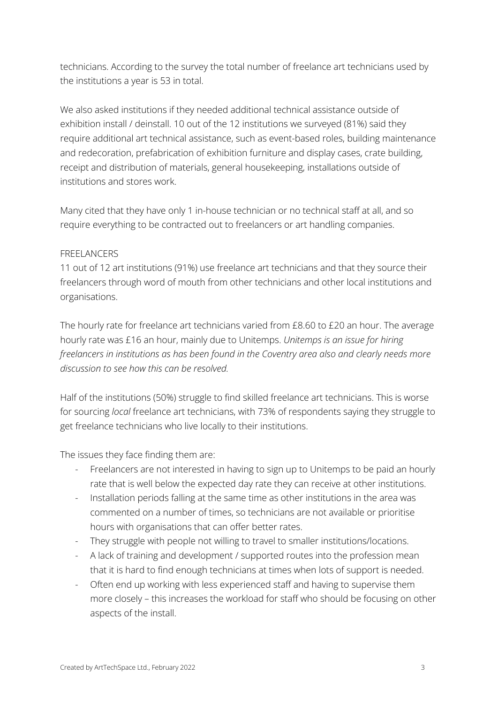technicians. According to the survey the total number of freelance art technicians used by the institutions a year is 53 in total.

We also asked institutions if they needed additional technical assistance outside of exhibition install / deinstall. 10 out of the 12 institutions we surveyed (81%) said they require additional art technical assistance, such as event-based roles, building maintenance and redecoration, prefabrication of exhibition furniture and display cases, crate building, receipt and distribution of materials, general housekeeping, installations outside of institutions and stores work.

Many cited that they have only 1 in-house technician or no technical staff at all, and so require everything to be contracted out to freelancers or art handling companies.

#### FREELANCERS

11 out of 12 art institutions (91%) use freelance art technicians and that they source their freelancers through word of mouth from other technicians and other local institutions and organisations.

The hourly rate for freelance art technicians varied from £8.60 to £20 an hour. The average hourly rate was £16 an hour, mainly due to Unitemps. *Unitemps is an issue for hiring freelancers in institutions as has been found in the Coventry area also and clearly needs more discussion to see how this can be resolved.*

Half of the institutions (50%) struggle to find skilled freelance art technicians. This is worse for sourcing *local* freelance art technicians, with 73% of respondents saying they struggle to get freelance technicians who live locally to their institutions.

The issues they face finding them are:

- Freelancers are not interested in having to sign up to Unitemps to be paid an hourly rate that is well below the expected day rate they can receive at other institutions.
- Installation periods falling at the same time as other institutions in the area was commented on a number of times, so technicians are not available or prioritise hours with organisations that can offer better rates.
- They struggle with people not willing to travel to smaller institutions/locations.
- A lack of training and development / supported routes into the profession mean that it is hard to find enough technicians at times when lots of support is needed.
- Often end up working with less experienced staff and having to supervise them more closely – this increases the workload for staff who should be focusing on other aspects of the install.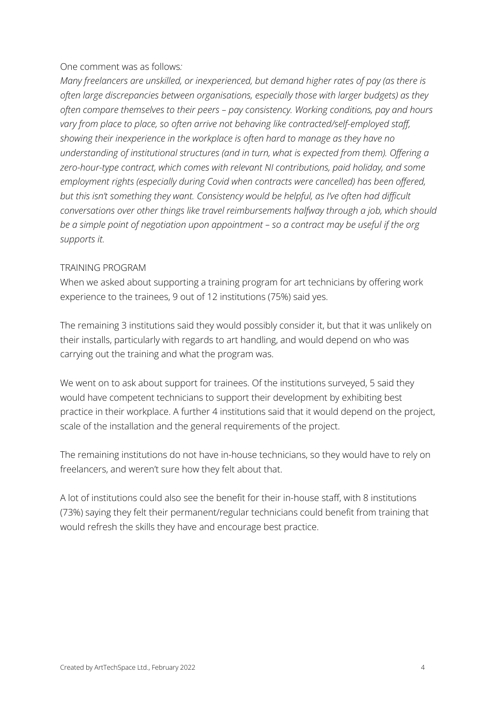#### One comment was as follows*:*

*Many freelancers are unskilled, or inexperienced, but demand higher rates of pay (as there is often large discrepancies between organisations, especially those with larger budgets) as they often compare themselves to their peers – pay consistency. Working conditions, pay and hours vary from place to place, so often arrive not behaving like contracted/self-employed staff, showing their inexperience in the workplace is often hard to manage as they have no understanding of institutional structures (and in turn, what is expected from them). Offering a zero-hour-type contract, which comes with relevant NI contributions, paid holiday, and some employment rights (especially during Covid when contracts were cancelled) has been offered, but this isn't something they want. Consistency would be helpful, as I've often had difficult conversations over other things like travel reimbursements halfway through a job, which should be a simple point of negotiation upon appointment – so a contract may be useful if the org supports it.*

#### TRAINING PROGRAM

When we asked about supporting a training program for art technicians by offering work experience to the trainees, 9 out of 12 institutions (75%) said yes.

The remaining 3 institutions said they would possibly consider it, but that it was unlikely on their installs, particularly with regards to art handling, and would depend on who was carrying out the training and what the program was.

We went on to ask about support for trainees. Of the institutions surveyed, 5 said they would have competent technicians to support their development by exhibiting best practice in their workplace. A further 4 institutions said that it would depend on the project, scale of the installation and the general requirements of the project.

The remaining institutions do not have in-house technicians, so they would have to rely on freelancers, and weren't sure how they felt about that.

A lot of institutions could also see the benefit for their in-house staff, with 8 institutions (73%) saying they felt their permanent/regular technicians could benefit from training that would refresh the skills they have and encourage best practice.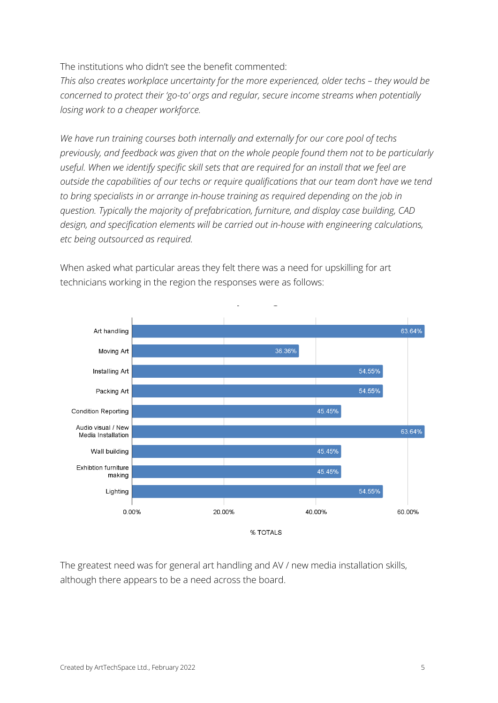The institutions who didn't see the benefit commented:

*This also creates workplace uncertainty for the more experienced, older techs – they would be concerned to protect their 'go-to' orgs and regular, secure income streams when potentially losing work to a cheaper workforce.*

*We have run training courses both internally and externally for our core pool of techs previously, and feedback was given that on the whole people found them not to be particularly useful. When we identify specific skill sets that are required for an install that we feel are outside the capabilities of our techs or require qualifications that our team don't have we tend to bring specialists in or arrange in-house training as required depending on the job in question. Typically the majority of prefabrication, furniture, and display case building, CAD design, and specification elements will be carried out in-house with engineering calculations, etc being outsourced as required.*



When asked what particular areas they felt there was a need for upskilling for art technicians working in the region the responses were as follows:

The greatest need was for general art handling and AV / new media installation skills, although there appears to be a need across the board.